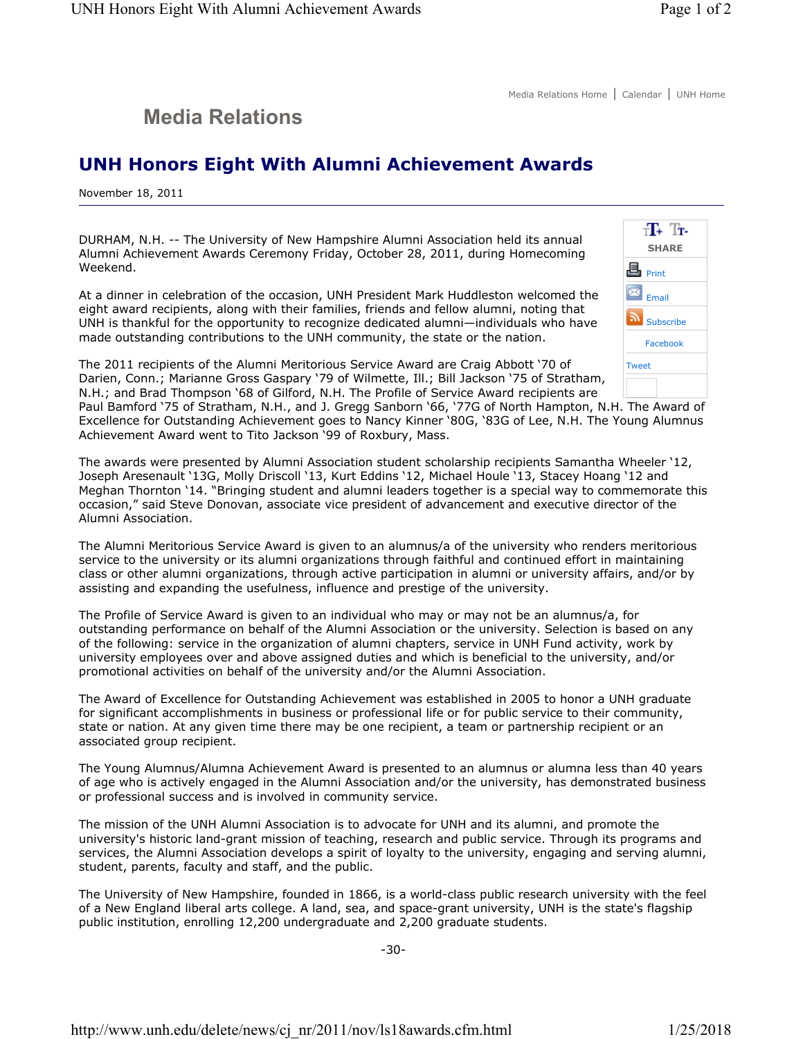## **Media Relations**

## **UNH Honors Eight With Alumni Achievement Awards**

November 18, 2011

DURHAM, N.H. -- The University of New Hampshire Alumni Association held its annual Alumni Achievement Awards Ceremony Friday, October 28, 2011, during Homecoming Weekend.

At a dinner in celebration of the occasion, UNH President Mark Huddleston welcomed the eight award recipients, along with their families, friends and fellow alumni, noting that UNH is thankful for the opportunity to recognize dedicated alumni—individuals who have made outstanding contributions to the UNH community, the state or the nation.



The 2011 recipients of the Alumni Meritorious Service Award are Craig Abbott '70 of Darien, Conn.; Marianne Gross Gaspary '79 of Wilmette, Ill.; Bill Jackson '75 of Stratham, N.H.; and Brad Thompson '68 of Gilford, N.H. The Profile of Service Award recipients are

Paul Bamford '75 of Stratham, N.H., and J. Gregg Sanborn '66, '77G of North Hampton, N.H. The Award of Excellence for Outstanding Achievement goes to Nancy Kinner '80G, '83G of Lee, N.H. The Young Alumnus Achievement Award went to Tito Jackson '99 of Roxbury, Mass.

The awards were presented by Alumni Association student scholarship recipients Samantha Wheeler '12, Joseph Aresenault '13G, Molly Driscoll '13, Kurt Eddins '12, Michael Houle '13, Stacey Hoang '12 and Meghan Thornton '14. "Bringing student and alumni leaders together is a special way to commemorate this occasion," said Steve Donovan, associate vice president of advancement and executive director of the Alumni Association.

The Alumni Meritorious Service Award is given to an alumnus/a of the university who renders meritorious service to the university or its alumni organizations through faithful and continued effort in maintaining class or other alumni organizations, through active participation in alumni or university affairs, and/or by assisting and expanding the usefulness, influence and prestige of the university.

The Profile of Service Award is given to an individual who may or may not be an alumnus/a, for outstanding performance on behalf of the Alumni Association or the university. Selection is based on any of the following: service in the organization of alumni chapters, service in UNH Fund activity, work by university employees over and above assigned duties and which is beneficial to the university, and/or promotional activities on behalf of the university and/or the Alumni Association.

The Award of Excellence for Outstanding Achievement was established in 2005 to honor a UNH graduate for significant accomplishments in business or professional life or for public service to their community, state or nation. At any given time there may be one recipient, a team or partnership recipient or an associated group recipient.

The Young Alumnus/Alumna Achievement Award is presented to an alumnus or alumna less than 40 years of age who is actively engaged in the Alumni Association and/or the university, has demonstrated business or professional success and is involved in community service.

The mission of the UNH Alumni Association is to advocate for UNH and its alumni, and promote the university's historic land-grant mission of teaching, research and public service. Through its programs and services, the Alumni Association develops a spirit of loyalty to the university, engaging and serving alumni, student, parents, faculty and staff, and the public.

The University of New Hampshire, founded in 1866, is a world-class public research university with the feel of a New England liberal arts college. A land, sea, and space-grant university, UNH is the state's flagship public institution, enrolling 12,200 undergraduate and 2,200 graduate students.

-30-